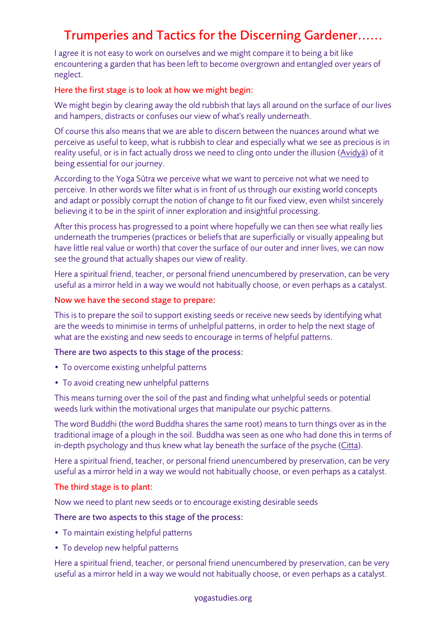# Trumperies and Tactics for the Discerning Gardener......

I agree it is not easy to work on ourselves and we might compare it to being a bit like encountering a garden that has been left to become overgrown and entangled over years of neglect.

### Here the first stage is to look at how we might begin:

We might begin by clearing away the old rubbish that lays all around on the surface of our lives and hampers, distracts or confuses our view of what's really underneath.

Of course this also means that we are able to discern between the nuances around what we perceive as useful to keep, what is rubbish to clear and especially what we see as precious is in reality useful, or is in fact actually dross we need to cling onto under the illusion (Avidyā) of it being essential for our journey.

According to the Yoga Sūtra we perceive what we want to perceive not what we need to perceive. In other words we filter what is in front of us through our existing world concepts and adapt or possibly corrupt the notion of change to fit our fixed view, even whilst sincerely believing it to be in the spirit of inner exploration and insightful processing.

After this process has progressed to a point where hopefully we can then see what really lies underneath the trumperies (practices or beliefs that are superficially or visually appealing but have little real value or worth) that cover the surface of our outer and inner lives, we can now see the ground that actually shapes our view of reality.

Here a spiritual friend, teacher, or personal friend unencumbered by preservation, can be very useful as a mirror held in a way we would not habitually choose, or even perhaps as a catalyst.

#### Now we have the second stage to prepare:

This is to prepare the soil to support existing seeds or receive new seeds by identifying what are the weeds to minimise in terms of unhelpful patterns, in order to help the next stage of what are the existing and new seeds to encourage in terms of helpful patterns.

#### There are two aspects to this stage of the process:

- To overcome existing unhelpful patterns
- To avoid creating new unhelpful patterns

This means turning over the soil of the past and finding what unhelpful seeds or potential weeds lurk within the motivational urges that manipulate our psychic patterns.

The word Buddhi (the word Buddha shares the same root) means to turn things over as in the traditional image of a plough in the soil. Buddha was seen as one who had done this in terms of in-depth psychology and thus knew what lay beneath the surface of the psyche (Citta).

Here a spiritual friend, teacher, or personal friend unencumbered by preservation, can be very useful as a mirror held in a way we would not habitually choose, or even perhaps as a catalyst.

#### The third stage is to plant:

Now we need to plant new seeds or to encourage existing desirable seeds

#### There are two aspects to this stage of the process:

- To maintain existing helpful patterns
- To develop new helpful patterns

Here a spiritual friend, teacher, or personal friend unencumbered by preservation, can be very useful as a mirror held in a way we would not habitually choose, or even perhaps as a catalyst.

#### yogastudies.org